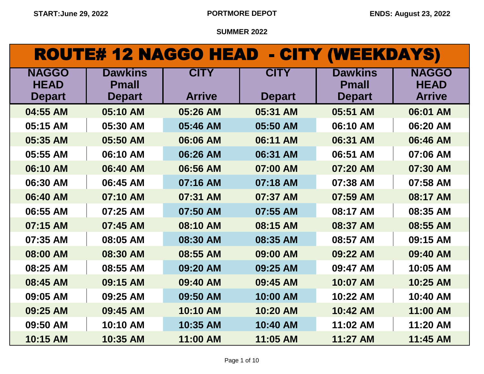| ROUTE# 12 NAGGO HEAD - CITY (WEEKDAYS) |  |  |
|----------------------------------------|--|--|
|----------------------------------------|--|--|

| <b>NAGGO</b><br><b>HEAD</b> | <b>Dawkins</b><br><b>Pmall</b> | <b>CITY</b>   | <b>CITY</b>   | <b>Dawkins</b><br><b>Pmall</b> | <b>NAGGO</b><br><b>HEAD</b> |
|-----------------------------|--------------------------------|---------------|---------------|--------------------------------|-----------------------------|
| <b>Depart</b>               | <b>Depart</b>                  | <b>Arrive</b> | <b>Depart</b> | <b>Depart</b>                  | <b>Arrive</b>               |
| 04:55 AM                    | 05:10 AM                       | 05:26 AM      | 05:31 AM      | 05:51 AM                       | 06:01 AM                    |
| 05:15 AM                    | 05:30 AM                       | 05:46 AM      | 05:50 AM      | 06:10 AM                       | 06:20 AM                    |
| 05:35 AM                    | 05:50 AM                       | 06:06 AM      | 06:11 AM      | 06:31 AM                       | 06:46 AM                    |
| 05:55 AM                    | 06:10 AM                       | 06:26 AM      | 06:31 AM      | 06:51 AM                       | 07:06 AM                    |
| 06:10 AM                    | 06:40 AM                       | 06:56 AM      | 07:00 AM      | 07:20 AM                       | 07:30 AM                    |
| 06:30 AM                    | 06:45 AM                       | 07:16 AM      | 07:18 AM      | 07:38 AM                       | 07:58 AM                    |
| 06:40 AM                    | 07:10 AM                       | 07:31 AM      | 07:37 AM      | 07:59 AM                       | 08:17 AM                    |
| 06:55 AM                    | 07:25 AM                       | 07:50 AM      | 07:55 AM      | 08:17 AM                       | 08:35 AM                    |
| 07:15 AM                    | 07:45 AM                       | 08:10 AM      | 08:15 AM      | 08:37 AM                       | 08:55 AM                    |
| 07:35 AM                    | 08:05 AM                       | 08:30 AM      | 08:35 AM      | 08:57 AM                       | 09:15 AM                    |
| 08:00 AM                    | 08:30 AM                       | 08:55 AM      | 09:00 AM      | 09:22 AM                       | 09:40 AM                    |
| 08:25 AM                    | 08:55 AM                       | 09:20 AM      | 09:25 AM      | 09:47 AM                       | 10:05 AM                    |
| 08:45 AM                    | 09:15 AM                       | 09:40 AM      | 09:45 AM      | 10:07 AM                       | 10:25 AM                    |
| 09:05 AM                    | 09:25 AM                       | 09:50 AM      | 10:00 AM      | 10:22 AM                       | 10:40 AM                    |
| 09:25 AM                    | 09:45 AM                       | 10:10 AM      | 10:20 AM      | 10:42 AM                       | 11:00 AM                    |
| 09:50 AM                    | 10:10 AM                       | 10:35 AM      | 10:40 AM      | 11:02 AM                       | 11:20 AM                    |
| 10:15 AM                    | 10:35 AM                       | 11:00 AM      | 11:05 AM      | 11:27 AM                       | 11:45 AM                    |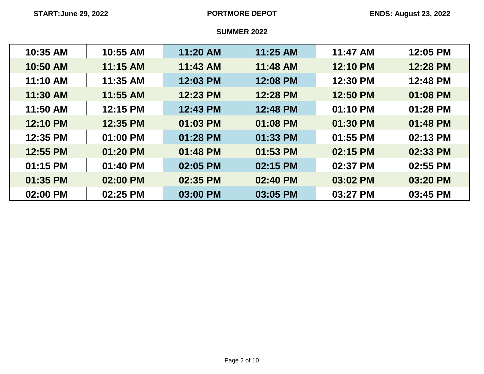| 10:35 AM | 10:55 AM | 11:20 AM | 11:25 AM | 11:47 AM | 12:05 PM |
|----------|----------|----------|----------|----------|----------|
| 10:50 AM | 11:15 AM | 11:43 AM | 11:48 AM | 12:10 PM | 12:28 PM |
| 11:10 AM | 11:35 AM | 12:03 PM | 12:08 PM | 12:30 PM | 12:48 PM |
| 11:30 AM | 11:55 AM | 12:23 PM | 12:28 PM | 12:50 PM | 01:08 PM |
| 11:50 AM | 12:15 PM | 12:43 PM | 12:48 PM | 01:10 PM | 01:28 PM |
| 12:10 PM | 12:35 PM | 01:03 PM | 01:08 PM | 01:30 PM | 01:48 PM |
| 12:35 PM | 01:00 PM | 01:28 PM | 01:33 PM | 01:55 PM | 02:13 PM |
| 12:55 PM | 01:20 PM | 01:48 PM | 01:53 PM | 02:15 PM | 02:33 PM |
| 01:15 PM | 01:40 PM | 02:05 PM | 02:15 PM | 02:37 PM | 02:55 PM |
| 01:35 PM | 02:00 PM | 02:35 PM | 02:40 PM | 03:02 PM | 03:20 PM |
| 02:00 PM | 02:25 PM | 03:00 PM | 03:05 PM | 03:27 PM | 03:45 PM |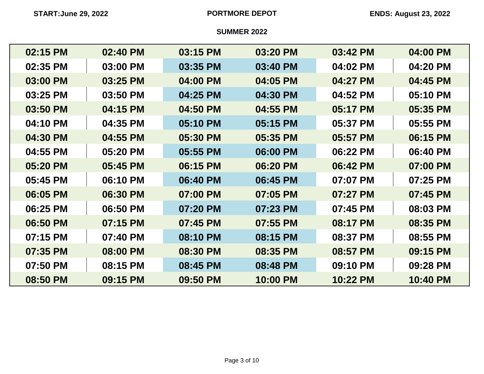| 02:15 PM | 02:40 PM | 03:15 PM | 03:20 PM | 03:42 PM | 04:00 PM |
|----------|----------|----------|----------|----------|----------|
| 02:35 PM | 03:00 PM | 03:35 PM | 03:40 PM | 04:02 PM | 04:20 PM |
| 03:00 PM | 03:25 PM | 04:00 PM | 04:05 PM | 04:27 PM | 04:45 PM |
| 03:25 PM | 03:50 PM | 04:25 PM | 04:30 PM | 04:52 PM | 05:10 PM |
| 03:50 PM | 04:15 PM | 04:50 PM | 04:55 PM | 05:17 PM | 05:35 PM |
| 04:10 PM | 04:35 PM | 05:10 PM | 05:15 PM | 05:37 PM | 05:55 PM |
| 04:30 PM | 04:55 PM | 05:30 PM | 05:35 PM | 05:57 PM | 06:15 PM |
| 04:55 PM | 05:20 PM | 05:55 PM | 06:00 PM | 06:22 PM | 06:40 PM |
| 05:20 PM | 05:45 PM | 06:15 PM | 06:20 PM | 06:42 PM | 07:00 PM |
| 05:45 PM | 06:10 PM | 06:40 PM | 06:45 PM | 07:07 PM | 07:25 PM |
| 06:05 PM | 06:30 PM | 07:00 PM | 07:05 PM | 07:27 PM | 07:45 PM |
| 06:25 PM | 06:50 PM | 07:20 PM | 07:23 PM | 07:45 PM | 08:03 PM |
| 06:50 PM | 07:15 PM | 07:45 PM | 07:55 PM | 08:17 PM | 08:35 PM |
| 07:15 PM | 07:40 PM | 08:10 PM | 08:15 PM | 08:37 PM | 08:55 PM |
| 07:35 PM | 08:00 PM | 08:30 PM | 08:35 PM | 08:57 PM | 09:15 PM |
| 07:50 PM | 08:15 PM | 08:45 PM | 08:48 PM | 09:10 PM | 09:28 PM |
| 08:50 PM | 09:15 PM | 09:50 PM | 10:00 PM | 10:22 PM | 10:40 PM |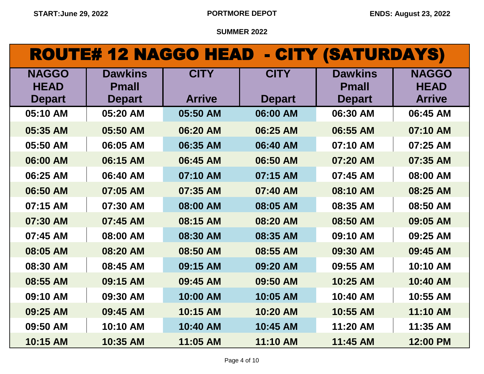# ROUTE# 12 NAGGO HEAD - CITY (SATURDAYS)

| <b>NAGGO</b><br><b>HEAD</b> | <b>Dawkins</b><br><b>Pmall</b> | <b>CITY</b>   | <b>CITY</b>   | <b>Dawkins</b><br><b>Pmall</b> | <b>NAGGO</b><br><b>HEAD</b> |
|-----------------------------|--------------------------------|---------------|---------------|--------------------------------|-----------------------------|
| <b>Depart</b>               | <b>Depart</b>                  | <b>Arrive</b> | <b>Depart</b> | <b>Depart</b>                  | <b>Arrive</b>               |
| 05:10 AM                    | 05:20 AM                       | 05:50 AM      | 06:00 AM      | 06:30 AM                       | 06:45 AM                    |
| 05:35 AM                    | 05:50 AM                       | 06:20 AM      | 06:25 AM      | 06:55 AM                       | 07:10 AM                    |
| 05:50 AM                    | 06:05 AM                       | 06:35 AM      | 06:40 AM      | 07:10 AM                       | 07:25 AM                    |
| 06:00 AM                    | 06:15 AM                       | 06:45 AM      | 06:50 AM      | 07:20 AM                       | 07:35 AM                    |
| 06:25 AM                    | 06:40 AM                       | 07:10 AM      | 07:15 AM      | 07:45 AM                       | 08:00 AM                    |
| 06:50 AM                    | 07:05 AM                       | 07:35 AM      | 07:40 AM      | 08:10 AM                       | 08:25 AM                    |
| 07:15 AM                    | 07:30 AM                       | 08:00 AM      | 08:05 AM      | 08:35 AM                       | 08:50 AM                    |
| 07:30 AM                    | 07:45 AM                       | 08:15 AM      | 08:20 AM      | 08:50 AM                       | 09:05 AM                    |
| 07:45 AM                    | 08:00 AM                       | 08:30 AM      | 08:35 AM      | 09:10 AM                       | 09:25 AM                    |
| 08:05 AM                    | 08:20 AM                       | 08:50 AM      | 08:55 AM      | 09:30 AM                       | 09:45 AM                    |
| 08:30 AM                    | 08:45 AM                       | 09:15 AM      | 09:20 AM      | 09:55 AM                       | 10:10 AM                    |
| 08:55 AM                    | 09:15 AM                       | 09:45 AM      | 09:50 AM      | 10:25 AM                       | 10:40 AM                    |
| 09:10 AM                    | 09:30 AM                       | 10:00 AM      | 10:05 AM      | 10:40 AM                       | 10:55 AM                    |
| 09:25 AM                    | 09:45 AM                       | 10:15 AM      | 10:20 AM      | 10:55 AM                       | 11:10 AM                    |
| 09:50 AM                    | 10:10 AM                       | 10:40 AM      | 10:45 AM      | 11:20 AM                       | 11:35 AM                    |
| 10:15 AM                    | 10:35 AM                       | 11:05 AM      | 11:10 AM      | 11:45 AM                       | 12:00 PM                    |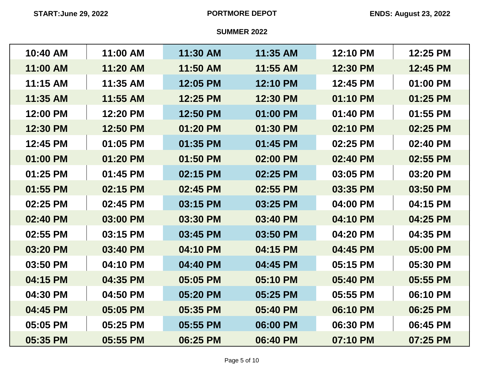| 10:40 AM | 11:00 AM | 11:30 AM | 11:35 AM | 12:10 PM | 12:25 PM |
|----------|----------|----------|----------|----------|----------|
| 11:00 AM | 11:20 AM | 11:50 AM | 11:55 AM | 12:30 PM | 12:45 PM |
| 11:15 AM | 11:35 AM | 12:05 PM | 12:10 PM | 12:45 PM | 01:00 PM |
| 11:35 AM | 11:55 AM | 12:25 PM | 12:30 PM | 01:10 PM | 01:25 PM |
| 12:00 PM | 12:20 PM | 12:50 PM | 01:00 PM | 01:40 PM | 01:55 PM |
| 12:30 PM | 12:50 PM | 01:20 PM | 01:30 PM | 02:10 PM | 02:25 PM |
| 12:45 PM | 01:05 PM | 01:35 PM | 01:45 PM | 02:25 PM | 02:40 PM |
| 01:00 PM | 01:20 PM | 01:50 PM | 02:00 PM | 02:40 PM | 02:55 PM |
| 01:25 PM | 01:45 PM | 02:15 PM | 02:25 PM | 03:05 PM | 03:20 PM |
| 01:55 PM | 02:15 PM | 02:45 PM | 02:55 PM | 03:35 PM | 03:50 PM |
| 02:25 PM | 02:45 PM | 03:15 PM | 03:25 PM | 04:00 PM | 04:15 PM |
| 02:40 PM | 03:00 PM | 03:30 PM | 03:40 PM | 04:10 PM | 04:25 PM |
| 02:55 PM | 03:15 PM | 03:45 PM | 03:50 PM | 04:20 PM | 04:35 PM |
| 03:20 PM | 03:40 PM | 04:10 PM | 04:15 PM | 04:45 PM | 05:00 PM |
| 03:50 PM | 04:10 PM | 04:40 PM | 04:45 PM | 05:15 PM | 05:30 PM |
| 04:15 PM | 04:35 PM | 05:05 PM | 05:10 PM | 05:40 PM | 05:55 PM |
| 04:30 PM | 04:50 PM | 05:20 PM | 05:25 PM | 05:55 PM | 06:10 PM |
| 04:45 PM | 05:05 PM | 05:35 PM | 05:40 PM | 06:10 PM | 06:25 PM |
| 05:05 PM | 05:25 PM | 05:55 PM | 06:00 PM | 06:30 PM | 06:45 PM |
| 05:35 PM | 05:55 PM | 06:25 PM | 06:40 PM | 07:10 PM | 07:25 PM |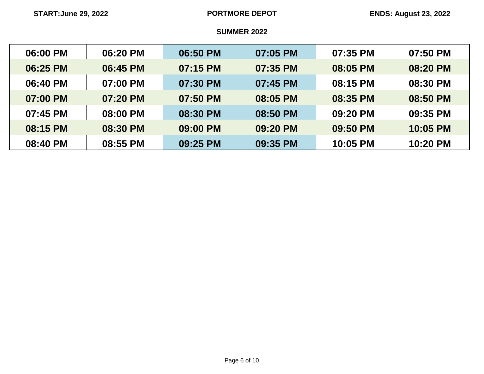| 06:00 PM | 06:20 PM | 06:50 PM | 07:05 PM | 07:35 PM | 07:50 PM |
|----------|----------|----------|----------|----------|----------|
| 06:25 PM | 06:45 PM | 07:15 PM | 07:35 PM | 08:05 PM | 08:20 PM |
| 06:40 PM | 07:00 PM | 07:30 PM | 07:45 PM | 08:15 PM | 08:30 PM |
| 07:00 PM | 07:20 PM | 07:50 PM | 08:05 PM | 08:35 PM | 08:50 PM |
| 07:45 PM | 08:00 PM | 08:30 PM | 08:50 PM | 09:20 PM | 09:35 PM |
| 08:15 PM | 08:30 PM | 09:00 PM | 09:20 PM | 09:50 PM | 10:05 PM |
| 08:40 PM | 08:55 PM | 09:25 PM | 09:35 PM | 10:05 PM | 10:20 PM |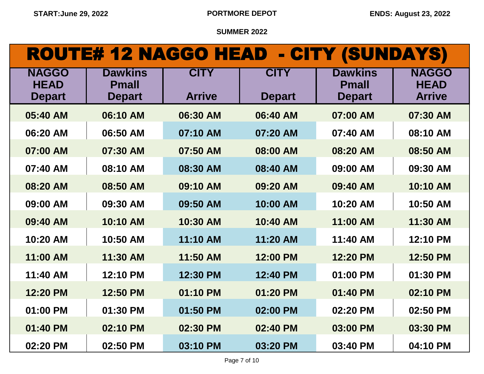| ROUTE# 12 NAGGO HEAD - CITY (SUNDAYS) |                                |               |               |                                |                             |
|---------------------------------------|--------------------------------|---------------|---------------|--------------------------------|-----------------------------|
| <b>NAGGO</b><br><b>HEAD</b>           | <b>Dawkins</b><br><b>Pmall</b> | <b>CITY</b>   | <b>CITY</b>   | <b>Dawkins</b><br><b>Pmall</b> | <b>NAGGO</b><br><b>HEAD</b> |
| <b>Depart</b>                         | <b>Depart</b>                  | <b>Arrive</b> | <b>Depart</b> | <b>Depart</b>                  | <b>Arrive</b>               |
| 05:40 AM                              | 06:10 AM                       | 06:30 AM      | 06:40 AM      | 07:00 AM                       | 07:30 AM                    |
| 06:20 AM                              | 06:50 AM                       | 07:10 AM      | 07:20 AM      | 07:40 AM                       | 08:10 AM                    |
| 07:00 AM                              | 07:30 AM                       | 07:50 AM      | 08:00 AM      | 08:20 AM                       | 08:50 AM                    |
| 07:40 AM                              | 08:10 AM                       | 08:30 AM      | 08:40 AM      | 09:00 AM                       | 09:30 AM                    |
| 08:20 AM                              | 08:50 AM                       | 09:10 AM      | 09:20 AM      | 09:40 AM                       | 10:10 AM                    |
| 09:00 AM                              | 09:30 AM                       | 09:50 AM      | 10:00 AM      | 10:20 AM                       | 10:50 AM                    |
| 09:40 AM                              | 10:10 AM                       | 10:30 AM      | 10:40 AM      | 11:00 AM                       | 11:30 AM                    |
| 10:20 AM                              | 10:50 AM                       | 11:10 AM      | 11:20 AM      | 11:40 AM                       | 12:10 PM                    |
| 11:00 AM                              | 11:30 AM                       | 11:50 AM      | 12:00 PM      | 12:20 PM                       | 12:50 PM                    |
| 11:40 AM                              | 12:10 PM                       | 12:30 PM      | 12:40 PM      | 01:00 PM                       | 01:30 PM                    |
| 12:20 PM                              | 12:50 PM                       | 01:10 PM      | 01:20 PM      | 01:40 PM                       | 02:10 PM                    |
| 01:00 PM                              | 01:30 PM                       | 01:50 PM      | 02:00 PM      | 02:20 PM                       | 02:50 PM                    |
| 01:40 PM                              | 02:10 PM                       | 02:30 PM      | 02:40 PM      | 03:00 PM                       | 03:30 PM                    |
| 02:20 PM                              | 02:50 PM                       | 03:10 PM      | 03:20 PM      | 03:40 PM                       | 04:10 PM                    |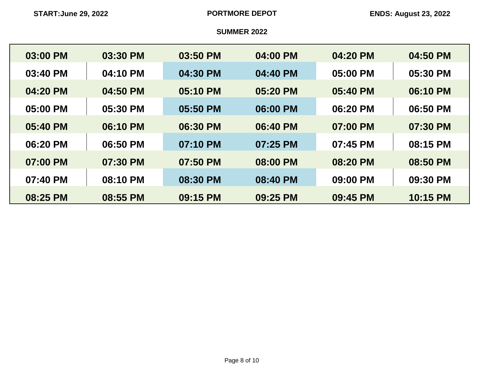| 03:00 PM | 03:30 PM | 03:50 PM | 04:00 PM | 04:20 PM | 04:50 PM |
|----------|----------|----------|----------|----------|----------|
| 03:40 PM | 04:10 PM | 04:30 PM | 04:40 PM | 05:00 PM | 05:30 PM |
| 04:20 PM | 04:50 PM | 05:10 PM | 05:20 PM | 05:40 PM | 06:10 PM |
| 05:00 PM | 05:30 PM | 05:50 PM | 06:00 PM | 06:20 PM | 06:50 PM |
| 05:40 PM | 06:10 PM | 06:30 PM | 06:40 PM | 07:00 PM | 07:30 PM |
| 06:20 PM | 06:50 PM | 07:10 PM | 07:25 PM | 07:45 PM | 08:15 PM |
| 07:00 PM | 07:30 PM | 07:50 PM | 08:00 PM | 08:20 PM | 08:50 PM |
| 07:40 PM | 08:10 PM | 08:30 PM | 08:40 PM | 09:00 PM | 09:30 PM |
| 08:25 PM | 08:55 PM | 09:15 PM | 09:25 PM | 09:45 PM | 10:15 PM |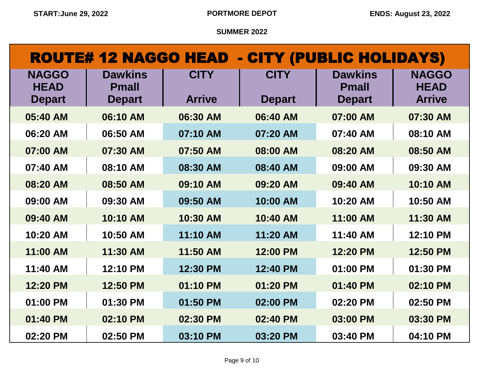| <b>ROUTE# 12 NAGGO HEAD - CITY (PUBLIC HOLIDAYS)</b> |                                |               |               |                                |                             |
|------------------------------------------------------|--------------------------------|---------------|---------------|--------------------------------|-----------------------------|
| <b>NAGGO</b><br><b>HEAD</b>                          | <b>Dawkins</b><br><b>Pmall</b> | <b>CITY</b>   | <b>CITY</b>   | <b>Dawkins</b><br><b>Pmall</b> | <b>NAGGO</b><br><b>HEAD</b> |
| <b>Depart</b>                                        | <b>Depart</b>                  | <b>Arrive</b> | <b>Depart</b> | <b>Depart</b>                  | <b>Arrive</b>               |
| 05:40 AM                                             | 06:10 AM                       | 06:30 AM      | 06:40 AM      | 07:00 AM                       | 07:30 AM                    |
| 06:20 AM                                             | 06:50 AM                       | 07:10 AM      | 07:20 AM      | 07:40 AM                       | 08:10 AM                    |
| 07:00 AM                                             | 07:30 AM                       | 07:50 AM      | 08:00 AM      | 08:20 AM                       | 08:50 AM                    |
| 07:40 AM                                             | 08:10 AM                       | 08:30 AM      | 08:40 AM      | 09:00 AM                       | 09:30 AM                    |
| 08:20 AM                                             | 08:50 AM                       | 09:10 AM      | 09:20 AM      | 09:40 AM                       | 10:10 AM                    |
| 09:00 AM                                             | 09:30 AM                       | 09:50 AM      | 10:00 AM      | 10:20 AM                       | 10:50 AM                    |
| 09:40 AM                                             | 10:10 AM                       | 10:30 AM      | 10:40 AM      | 11:00 AM                       | 11:30 AM                    |
| 10:20 AM                                             | 10:50 AM                       | 11:10 AM      | 11:20 AM      | 11:40 AM                       | 12:10 PM                    |
| 11:00 AM                                             | 11:30 AM                       | 11:50 AM      | 12:00 PM      | 12:20 PM                       | 12:50 PM                    |
| 11:40 AM                                             | 12:10 PM                       | 12:30 PM      | 12:40 PM      | 01:00 PM                       | 01:30 PM                    |
| 12:20 PM                                             | 12:50 PM                       | 01:10 PM      | 01:20 PM      | 01:40 PM                       | 02:10 PM                    |
| 01:00 PM                                             | 01:30 PM                       | 01:50 PM      | 02:00 PM      | 02:20 PM                       | 02:50 PM                    |
| 01:40 PM                                             | 02:10 PM                       | 02:30 PM      | 02:40 PM      | 03:00 PM                       | 03:30 PM                    |
| 02:20 PM                                             | 02:50 PM                       | 03:10 PM      | 03:20 PM      | 03:40 PM                       | 04:10 PM                    |